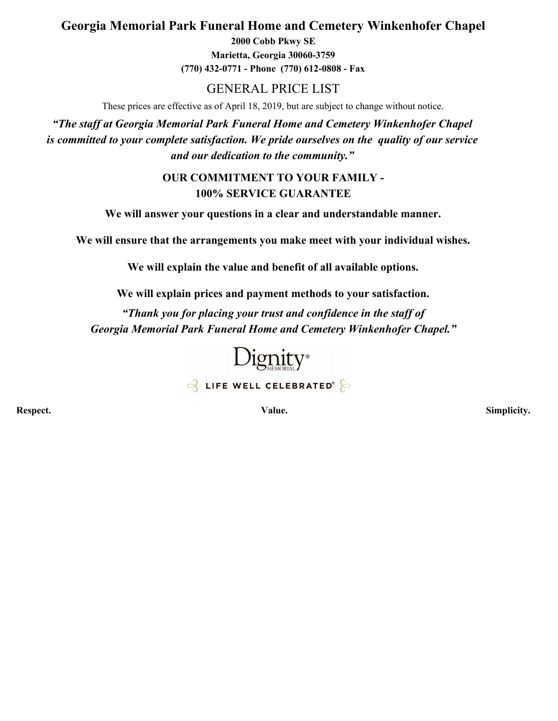# **Georgia Memorial Park Funeral Home and Cemetery Winkenhofer Chapel**

**2000 Cobb Pkwy SE Marietta, Georgia 30060-3759 (770) 432-0771 - Phone (770) 612-0808 - Fax**

## GENERAL PRICE LIST

These prices are effective as of April 18, 2019, but are subject to change without notice.

*"The staff at Georgia Memorial Park Funeral Home and Cemetery Winkenhofer Chapel is committed to your complete satisfaction. We pride ourselves on the quality of our service and our dedication to the community."*

### **OUR COMMITMENT TO YOUR FAMILY - 100% SERVICE GUARANTEE**

**We will answer your questions in a clear and understandable manner.**

**We will ensure that the arrangements you make meet with your individual wishes.**

**We will explain the value and benefit of all available options.**

**We will explain prices and payment methods to your satisfaction.**

*"Thank you for placing your trust and confidence in the staff of Georgia Memorial Park Funeral Home and Cemetery Winkenhofer Chapel."*



 $\beta$  LIFE WELL CELEBRATED<sup>®</sup>

**Respect. Value. Simplicity.**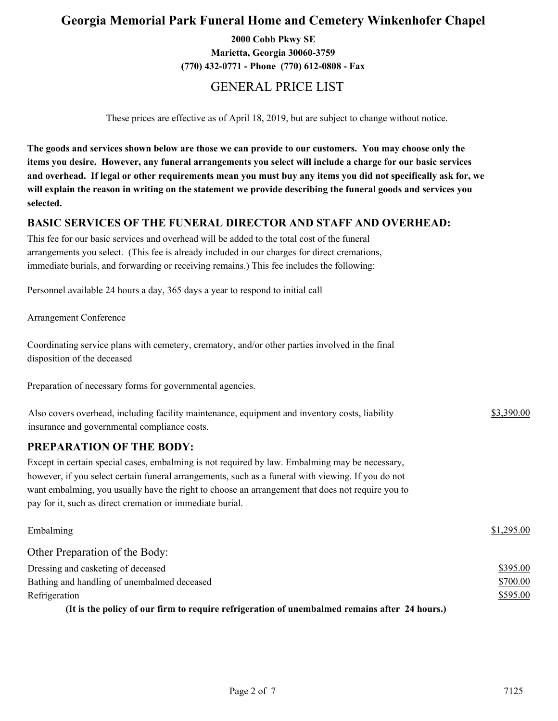## **Georgia Memorial Park Funeral Home and Cemetery Winkenhofer Chapel**

**2000 Cobb Pkwy SE Marietta, Georgia 30060-3759 (770) 432-0771 - Phone (770) 612-0808 - Fax**

## GENERAL PRICE LIST

These prices are effective as of April 18, 2019, but are subject to change without notice.

**The goods and services shown below are those we can provide to our customers. You may choose only the items you desire. However, any funeral arrangements you select will include a charge for our basic services and overhead. If legal or other requirements mean you must buy any items you did not specifically ask for, we will explain the reason in writing on the statement we provide describing the funeral goods and services you selected.**

#### **BASIC SERVICES OF THE FUNERAL DIRECTOR AND STAFF AND OVERHEAD:**

This fee for our basic services and overhead will be added to the total cost of the funeral arrangements you select. (This fee is already included in our charges for direct cremations, immediate burials, and forwarding or receiving remains.) This fee includes the following:

Personnel available 24 hours a day, 365 days a year to respond to initial call

Arrangement Conference

Coordinating service plans with cemetery, crematory, and/or other parties involved in the final disposition of the deceased

Preparation of necessary forms for governmental agencies.

| Also covers overhead, including facility maintenance, equipment and inventory costs, liability | \$3,390.00 |
|------------------------------------------------------------------------------------------------|------------|
| insurance and governmental compliance costs.                                                   |            |

#### **PREPARATION OF THE BODY:**

Except in certain special cases, embalming is not required by law. Embalming may be necessary, however, if you select certain funeral arrangements, such as a funeral with viewing. If you do not want embalming, you usually have the right to choose an arrangement that does not require you to pay for it, such as direct cremation or immediate burial.

| Embalming                                                                                     | \$1,295.00 |
|-----------------------------------------------------------------------------------------------|------------|
| Other Preparation of the Body:                                                                |            |
| Dressing and casketing of deceased                                                            | \$395.00   |
| Bathing and handling of unembalmed deceased                                                   | \$700.00   |
| Refrigeration                                                                                 | \$595.00   |
| (It is the policy of our firm to require refrigeration of unembalmed remains after 24 hours.) |            |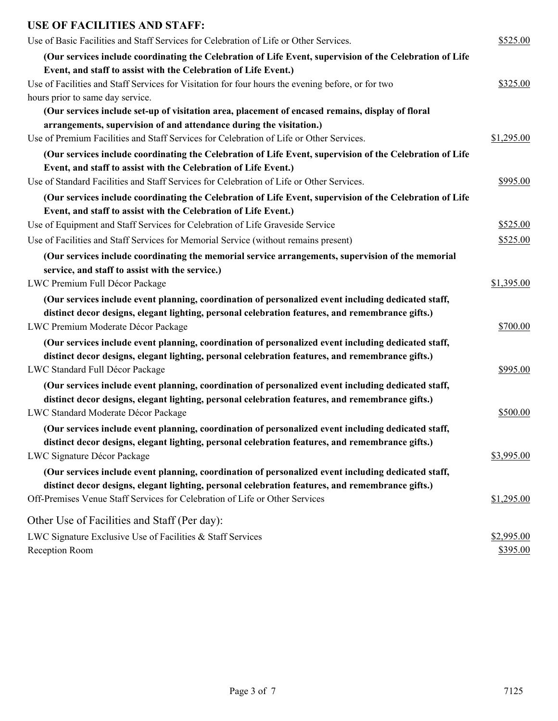# **USE OF FACILITIES AND STAFF:**

| Use of Basic Facilities and Staff Services for Celebration of Life or Other Services.                    | \$525.00   |
|----------------------------------------------------------------------------------------------------------|------------|
| (Our services include coordinating the Celebration of Life Event, supervision of the Celebration of Life |            |
| Event, and staff to assist with the Celebration of Life Event.)                                          |            |
| Use of Facilities and Staff Services for Visitation for four hours the evening before, or for two        | \$325.00   |
| hours prior to same day service.                                                                         |            |
| (Our services include set-up of visitation area, placement of encased remains, display of floral         |            |
| arrangements, supervision of and attendance during the visitation.)                                      |            |
| Use of Premium Facilities and Staff Services for Celebration of Life or Other Services.                  | \$1,295.00 |
| (Our services include coordinating the Celebration of Life Event, supervision of the Celebration of Life |            |
| Event, and staff to assist with the Celebration of Life Event.)                                          |            |
| Use of Standard Facilities and Staff Services for Celebration of Life or Other Services.                 | \$995.00   |
| (Our services include coordinating the Celebration of Life Event, supervision of the Celebration of Life |            |
| Event, and staff to assist with the Celebration of Life Event.)                                          |            |
| Use of Equipment and Staff Services for Celebration of Life Graveside Service                            | \$525.00   |
| Use of Facilities and Staff Services for Memorial Service (without remains present)                      | \$525.00   |
| (Our services include coordinating the memorial service arrangements, supervision of the memorial        |            |
| service, and staff to assist with the service.)                                                          |            |
| LWC Premium Full Décor Package                                                                           | \$1,395.00 |
| (Our services include event planning, coordination of personalized event including dedicated staff,      |            |
| distinct decor designs, elegant lighting, personal celebration features, and remembrance gifts.)         |            |
| LWC Premium Moderate Décor Package                                                                       | \$700.00   |
| (Our services include event planning, coordination of personalized event including dedicated staff,      |            |
| distinct decor designs, elegant lighting, personal celebration features, and remembrance gifts.)         |            |
| LWC Standard Full Décor Package                                                                          | \$995.00   |
| (Our services include event planning, coordination of personalized event including dedicated staff,      |            |
| distinct decor designs, elegant lighting, personal celebration features, and remembrance gifts.)         |            |
| LWC Standard Moderate Décor Package                                                                      | \$500.00   |
| (Our services include event planning, coordination of personalized event including dedicated staff,      |            |
| distinct decor designs, elegant lighting, personal celebration features, and remembrance gifts.)         |            |
| LWC Signature Décor Package                                                                              | \$3,995.00 |
| (Our services include event planning, coordination of personalized event including dedicated staff,      |            |
| distinct decor designs, elegant lighting, personal celebration features, and remembrance gifts.)         |            |
| Off-Premises Venue Staff Services for Celebration of Life or Other Services                              | \$1,295.00 |
| Other Use of Facilities and Staff (Per day):                                                             |            |
| LWC Signature Exclusive Use of Facilities & Staff Services                                               | \$2,995.00 |
| Reception Room                                                                                           | \$395.00   |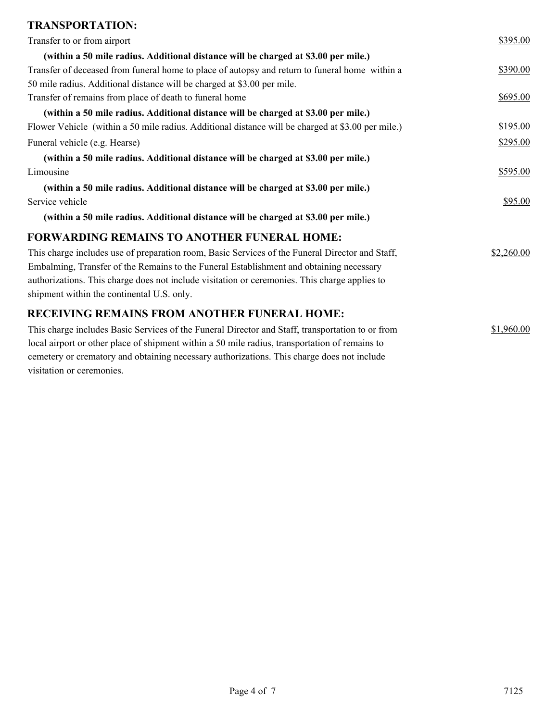# **TRANSPORTATION:**

| Transfer to or from airport                                                                       | \$395.00   |
|---------------------------------------------------------------------------------------------------|------------|
| (within a 50 mile radius. Additional distance will be charged at \$3.00 per mile.)                |            |
| Transfer of deceased from funeral home to place of autopsy and return to funeral home within a    | \$390.00   |
| 50 mile radius. Additional distance will be charged at \$3.00 per mile.                           |            |
| Transfer of remains from place of death to funeral home                                           | \$695.00   |
| (within a 50 mile radius. Additional distance will be charged at \$3.00 per mile.)                |            |
| Flower Vehicle (within a 50 mile radius. Additional distance will be charged at \$3.00 per mile.) | \$195.00   |
| Funeral vehicle (e.g. Hearse)                                                                     | \$295.00   |
| (within a 50 mile radius. Additional distance will be charged at \$3.00 per mile.)                |            |
| Limousine                                                                                         | \$595.00   |
| (within a 50 mile radius. Additional distance will be charged at \$3.00 per mile.)                |            |
| Service vehicle                                                                                   | \$95.00    |
| (within a 50 mile radius. Additional distance will be charged at \$3.00 per mile.)                |            |
| <b>FORWARDING REMAINS TO ANOTHER FUNERAL HOME:</b>                                                |            |
| This charge includes use of preparation room, Basic Services of the Funeral Director and Staff,   | \$2,260.00 |
| Embalming, Transfer of the Remains to the Funeral Establishment and obtaining necessary           |            |
| authorizations. This charge does not include visitation or ceremonies. This charge applies to     |            |
| shipment within the continental U.S. only.                                                        |            |
| <b>RECEIVING REMAINS FROM ANOTHER FUNERAL HOME:</b>                                               |            |
| This charge includes Basic Services of the Funeral Director and Staff, transportation to or from  | \$1,960.00 |
| local airport or other place of shipment within a 50 mile radius, transportation of remains to    |            |
| cemetery or crematory and obtaining necessary authorizations. This charge does not include        |            |
| visitation or ceremonies.                                                                         |            |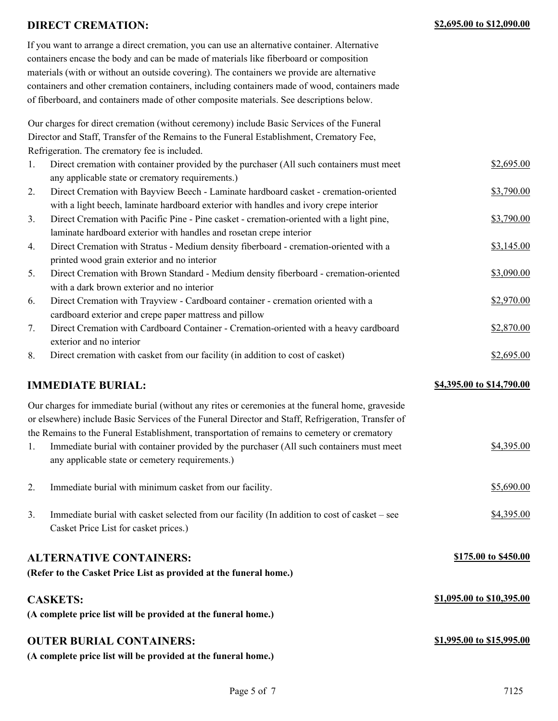#### **DIRECT CREMATION: \$2,695.00 to \$12,090.00**

| If you want to arrange a direct cremation, you can use an alternative container. Alternative  |
|-----------------------------------------------------------------------------------------------|
| containers encase the body and can be made of materials like fiberboard or composition        |
| materials (with or without an outside covering). The containers we provide are alternative    |
| containers and other cremation containers, including containers made of wood, containers made |
| of fiberboard, and containers made of other composite materials. See descriptions below.      |

Our charges for direct cremation (without ceremony) include Basic Services of the Funeral Director and Staff, Transfer of the Remains to the Funeral Establishment, Crematory Fee, Refrigeration. The crematory fee is included.

| $\mathbf{1}$ . | Direct cremation with container provided by the purchaser (All such containers must meet | \$2,695.00 |
|----------------|------------------------------------------------------------------------------------------|------------|
|                | any applicable state or crematory requirements.)                                         |            |
| 2.             | Direct Cremation with Bayview Beech - Laminate hardboard casket - cremation-oriented     | \$3,790.00 |
|                | with a light beech, laminate hardboard exterior with handles and ivory crepe interior    |            |
| 3.             | Direct Cremation with Pacific Pine - Pine casket - cremation-oriented with a light pine, | \$3,790.00 |
|                | laminate hardboard exterior with handles and rosetan crepe interior                      |            |
| 4.             | Direct Cremation with Stratus - Medium density fiberboard - cremation-oriented with a    | \$3,145.00 |
|                | printed wood grain exterior and no interior                                              |            |
| 5.             | Direct Cremation with Brown Standard - Medium density fiberboard - cremation-oriented    | \$3,090.00 |
|                | with a dark brown exterior and no interior                                               |            |
| 6.             | Direct Cremation with Trayview - Cardboard container - cremation oriented with a         | \$2,970.00 |
|                | cardboard exterior and crepe paper mattress and pillow                                   |            |
|                |                                                                                          |            |

7. Direct Cremation with Cardboard Container - Cremation-oriented with a heavy cardboard \$2,870.00 exterior and no interior

8. Direct cremation with casket from our facility (in addition to cost of casket) \$2,695.00

#### **IMMEDIATE BURIAL:**  $\frac{$4,395.00 \text{ to } $14,790.00}{9}$

Our charges for immediate burial (without any rites or ceremonies at the funeral home, graveside or elsewhere) include Basic Services of the Funeral Director and Staff, Refrigeration, Transfer of the Remains to the Funeral Establishment, transportation of remains to cemetery or crematory

- 1. Immediate burial with container provided by the purchaser (All such containers must meet  $$4,395.00$ any applicable state or cemetery requirements.)
- 2. Immediate burial with minimum casket from our facility.  $$5,690.00$ 3. Immediate burial with casket selected from our facility (In addition to cost of casket – see \$4,395.00
- Casket Price List for casket prices.)

#### **ALTERNATIVE CONTAINERS: \$175.00 to \$450.00**

**(Refer to the Casket Price List as provided at the funeral home.)**

#### **CASKETS:**

**(A complete price list will be provided at the funeral home.)**

#### **OUTER BURIAL CONTAINERS: \$1,995.00 to \$15,995.00**

**(A complete price list will be provided at the funeral home.)**

**\$1,095.00 to \$10,395.00**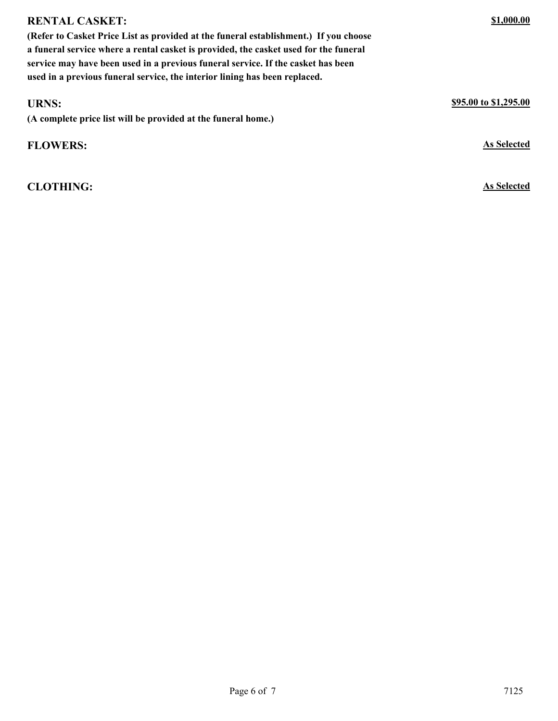| (Refer to Casket Price List as provided at the funeral establishment.) If you choose |                       |
|--------------------------------------------------------------------------------------|-----------------------|
| a funeral service where a rental casket is provided, the casket used for the funeral |                       |
| service may have been used in a previous funeral service. If the casket has been     |                       |
| used in a previous funeral service, the interior lining has been replaced.           |                       |
|                                                                                      |                       |
| <b>URNS:</b>                                                                         | \$95.00 to \$1,295.00 |
| (A complete price list will be provided at the funeral home.)                        |                       |
| <b>FLOWERS:</b>                                                                      | As Selected           |
|                                                                                      |                       |

**CLOTHING: As Selected**

**RENTAL CASKET:**

**\$1,000.00**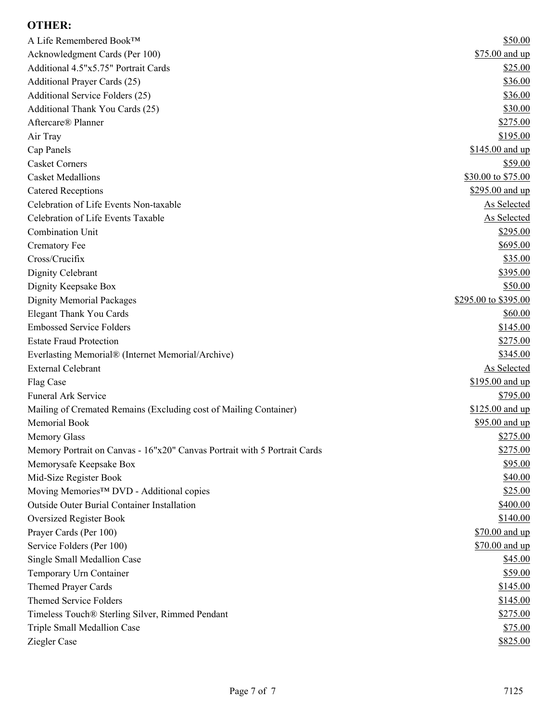## **OTHER:**

| A Life Remembered Book™                                                   | \$50.00              |
|---------------------------------------------------------------------------|----------------------|
| Acknowledgment Cards (Per 100)                                            | \$75.00 and up       |
| Additional 4.5"x5.75" Portrait Cards                                      | \$25.00              |
| Additional Prayer Cards (25)                                              | \$36.00              |
| Additional Service Folders (25)                                           | \$36.00              |
| Additional Thank You Cards (25)                                           | \$30.00              |
| Aftercare® Planner                                                        | \$275.00             |
| Air Tray                                                                  | \$195.00             |
| Cap Panels                                                                | \$145.00 and up      |
| <b>Casket Corners</b>                                                     | \$59.00              |
| <b>Casket Medallions</b>                                                  | \$30.00 to \$75.00   |
| <b>Catered Receptions</b>                                                 | \$295.00 and up      |
| Celebration of Life Events Non-taxable                                    | <b>As Selected</b>   |
| Celebration of Life Events Taxable                                        | As Selected          |
| Combination Unit                                                          | \$295.00             |
| <b>Crematory Fee</b>                                                      | \$695.00             |
| Cross/Crucifix                                                            | \$35.00              |
| Dignity Celebrant                                                         | \$395.00             |
| Dignity Keepsake Box                                                      | \$50.00              |
| <b>Dignity Memorial Packages</b>                                          | \$295.00 to \$395.00 |
| <b>Elegant Thank You Cards</b>                                            | \$60.00              |
| <b>Embossed Service Folders</b>                                           | \$145.00             |
| <b>Estate Fraud Protection</b>                                            | \$275.00             |
| Everlasting Memorial® (Internet Memorial/Archive)                         | \$345.00             |
| <b>External Celebrant</b>                                                 | <b>As Selected</b>   |
| Flag Case                                                                 | \$195.00 and up      |
| <b>Funeral Ark Service</b>                                                | \$795.00             |
| Mailing of Cremated Remains (Excluding cost of Mailing Container)         | \$125.00 and up      |
| Memorial Book                                                             | \$95.00 and up       |
| Memory Glass                                                              | \$275.00             |
| Memory Portrait on Canvas - 16"x20" Canvas Portrait with 5 Portrait Cards | \$275.00             |
| Memorysafe Keepsake Box                                                   | \$95.00              |
| Mid-Size Register Book                                                    | \$40.00              |
| Moving Memories™ DVD - Additional copies                                  | \$25.00              |
| <b>Outside Outer Burial Container Installation</b>                        | \$400.00             |
| <b>Oversized Register Book</b>                                            | \$140.00             |
| Prayer Cards (Per 100)                                                    | \$70.00 and up       |
| Service Folders (Per 100)                                                 | \$70.00 and up       |
| Single Small Medallion Case                                               | \$45.00              |
| Temporary Urn Container                                                   | \$59.00              |
| <b>Themed Prayer Cards</b>                                                | \$145.00             |
| <b>Themed Service Folders</b>                                             | \$145.00             |
|                                                                           | \$275.00             |
| Timeless Touch® Sterling Silver, Rimmed Pendant                           |                      |
| Triple Small Medallion Case                                               | \$75.00              |
| Ziegler Case                                                              | \$825.00             |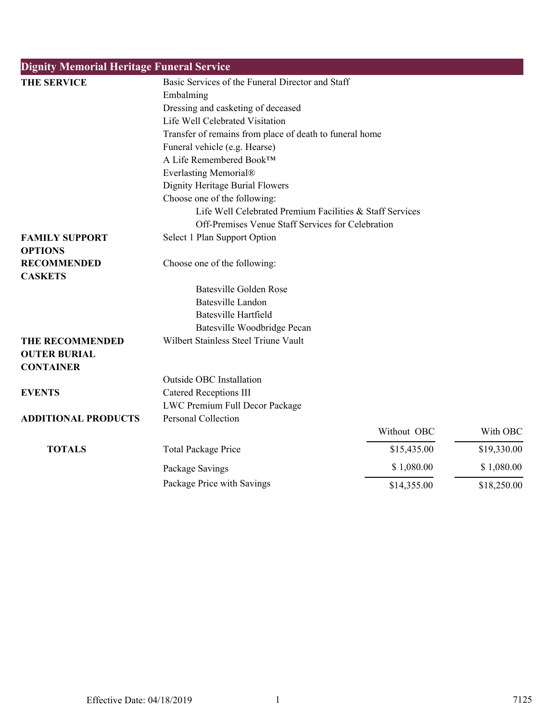| <b>Dignity Memorial Heritage Funeral Service</b> |                                                              |             |             |
|--------------------------------------------------|--------------------------------------------------------------|-------------|-------------|
| <b>THE SERVICE</b>                               | Basic Services of the Funeral Director and Staff             |             |             |
|                                                  | Embalming                                                    |             |             |
|                                                  | Dressing and casketing of deceased                           |             |             |
|                                                  | Life Well Celebrated Visitation                              |             |             |
|                                                  | Transfer of remains from place of death to funeral home      |             |             |
|                                                  | Funeral vehicle (e.g. Hearse)                                |             |             |
|                                                  | A Life Remembered Book™                                      |             |             |
|                                                  | Everlasting Memorial®                                        |             |             |
|                                                  | Dignity Heritage Burial Flowers                              |             |             |
|                                                  | Choose one of the following:                                 |             |             |
|                                                  | Life Well Celebrated Premium Facilities & Staff Services     |             |             |
|                                                  | Off-Premises Venue Staff Services for Celebration            |             |             |
| <b>FAMILY SUPPORT</b>                            | Select 1 Plan Support Option                                 |             |             |
| <b>OPTIONS</b>                                   |                                                              |             |             |
| <b>RECOMMENDED</b><br><b>CASKETS</b>             | Choose one of the following:                                 |             |             |
|                                                  | <b>Batesville Golden Rose</b>                                |             |             |
|                                                  | <b>Batesville Landon</b>                                     |             |             |
|                                                  | <b>Batesville Hartfield</b>                                  |             |             |
|                                                  | Batesville Woodbridge Pecan                                  |             |             |
| THE RECOMMENDED<br><b>OUTER BURIAL</b>           | Wilbert Stainless Steel Triune Vault                         |             |             |
| <b>CONTAINER</b>                                 |                                                              |             |             |
|                                                  | Outside OBC Installation                                     |             |             |
| <b>EVENTS</b>                                    | <b>Catered Receptions III</b>                                |             |             |
|                                                  | LWC Premium Full Decor Package<br><b>Personal Collection</b> |             |             |
| <b>ADDITIONAL PRODUCTS</b>                       |                                                              | Without OBC | With OBC    |
|                                                  |                                                              |             |             |
| <b>TOTALS</b>                                    | <b>Total Package Price</b>                                   | \$15,435.00 | \$19,330.00 |
|                                                  | Package Savings                                              | \$1,080.00  | \$1,080.00  |
|                                                  | Package Price with Savings                                   | \$14,355.00 | \$18,250.00 |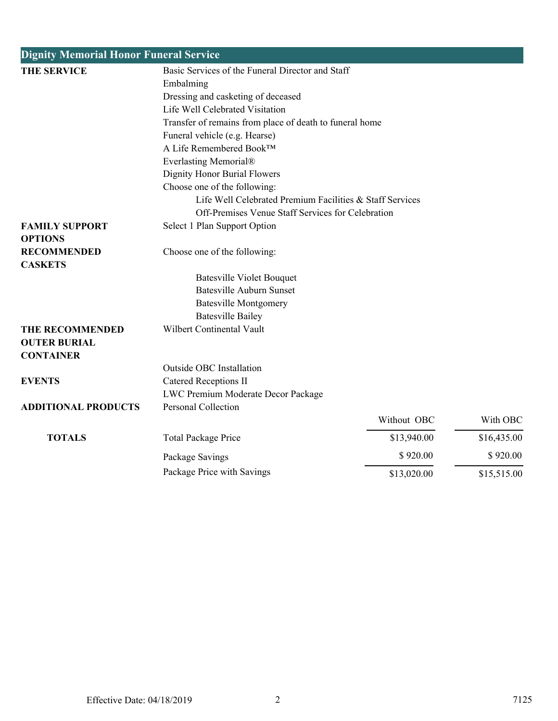| <b>Dignity Memorial Honor Funeral Service</b> |                                                                     |             |             |  |
|-----------------------------------------------|---------------------------------------------------------------------|-------------|-------------|--|
| <b>THE SERVICE</b>                            | Basic Services of the Funeral Director and Staff                    |             |             |  |
|                                               | Embalming                                                           |             |             |  |
|                                               | Dressing and casketing of deceased                                  |             |             |  |
|                                               | Life Well Celebrated Visitation                                     |             |             |  |
|                                               | Transfer of remains from place of death to funeral home             |             |             |  |
|                                               | Funeral vehicle (e.g. Hearse)                                       |             |             |  |
|                                               | A Life Remembered Book™                                             |             |             |  |
|                                               | Everlasting Memorial®                                               |             |             |  |
|                                               | Dignity Honor Burial Flowers                                        |             |             |  |
|                                               | Choose one of the following:                                        |             |             |  |
|                                               | Life Well Celebrated Premium Facilities & Staff Services            |             |             |  |
|                                               | Off-Premises Venue Staff Services for Celebration                   |             |             |  |
| <b>FAMILY SUPPORT</b>                         | Select 1 Plan Support Option                                        |             |             |  |
| <b>OPTIONS</b>                                |                                                                     |             |             |  |
| <b>RECOMMENDED</b>                            | Choose one of the following:                                        |             |             |  |
| <b>CASKETS</b>                                |                                                                     |             |             |  |
|                                               | <b>Batesville Violet Bouquet</b><br><b>Batesville Auburn Sunset</b> |             |             |  |
|                                               |                                                                     |             |             |  |
|                                               | <b>Batesville Montgomery</b>                                        |             |             |  |
| <b>THE RECOMMENDED</b>                        | <b>Batesville Bailey</b><br>Wilbert Continental Vault               |             |             |  |
| <b>OUTER BURIAL</b>                           |                                                                     |             |             |  |
| <b>CONTAINER</b>                              |                                                                     |             |             |  |
|                                               | <b>Outside OBC Installation</b>                                     |             |             |  |
| <b>EVENTS</b>                                 | <b>Catered Receptions II</b>                                        |             |             |  |
|                                               | LWC Premium Moderate Decor Package                                  |             |             |  |
| <b>ADDITIONAL PRODUCTS</b>                    | Personal Collection                                                 |             |             |  |
|                                               |                                                                     | Without OBC | With OBC    |  |
| <b>TOTALS</b>                                 | <b>Total Package Price</b>                                          | \$13,940.00 | \$16,435.00 |  |
|                                               | Package Savings                                                     | \$920.00    | \$920.00    |  |
|                                               | Package Price with Savings                                          | \$13,020.00 | \$15,515.00 |  |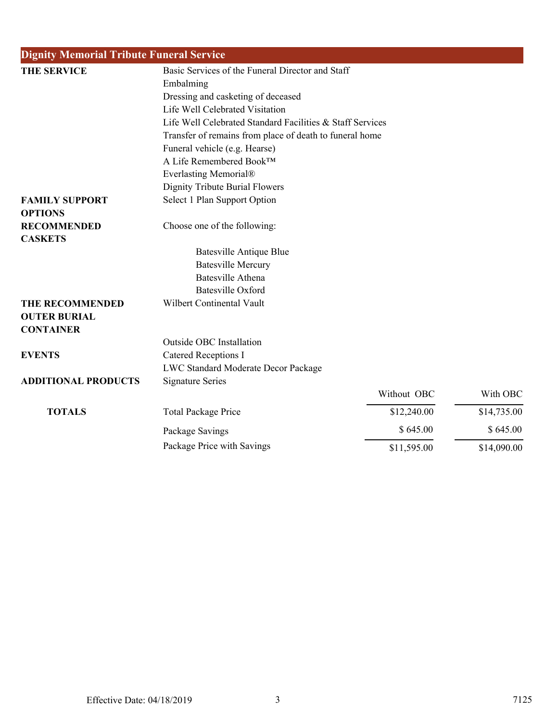| <b>Dignity Memorial Tribute Funeral Service</b> |                                                           |             |             |
|-------------------------------------------------|-----------------------------------------------------------|-------------|-------------|
| THE SERVICE                                     | Basic Services of the Funeral Director and Staff          |             |             |
|                                                 | Embalming                                                 |             |             |
|                                                 | Dressing and casketing of deceased                        |             |             |
|                                                 | Life Well Celebrated Visitation                           |             |             |
|                                                 | Life Well Celebrated Standard Facilities & Staff Services |             |             |
|                                                 | Transfer of remains from place of death to funeral home   |             |             |
|                                                 | Funeral vehicle (e.g. Hearse)                             |             |             |
|                                                 | A Life Remembered Book™                                   |             |             |
|                                                 | Everlasting Memorial®                                     |             |             |
|                                                 | Dignity Tribute Burial Flowers                            |             |             |
| <b>FAMILY SUPPORT</b><br><b>OPTIONS</b>         | Select 1 Plan Support Option                              |             |             |
| <b>RECOMMENDED</b><br><b>CASKETS</b>            | Choose one of the following:                              |             |             |
|                                                 | <b>Batesville Antique Blue</b>                            |             |             |
|                                                 | <b>Batesville Mercury</b>                                 |             |             |
|                                                 | <b>Batesville Athena</b>                                  |             |             |
|                                                 | <b>Batesville Oxford</b>                                  |             |             |
| THE RECOMMENDED                                 | Wilbert Continental Vault                                 |             |             |
| <b>OUTER BURIAL</b>                             |                                                           |             |             |
| <b>CONTAINER</b>                                |                                                           |             |             |
|                                                 | Outside OBC Installation                                  |             |             |
| <b>EVENTS</b>                                   | <b>Catered Receptions I</b>                               |             |             |
|                                                 | LWC Standard Moderate Decor Package                       |             |             |
| <b>ADDITIONAL PRODUCTS</b>                      | <b>Signature Series</b>                                   |             |             |
|                                                 |                                                           | Without OBC | With OBC    |
| <b>TOTALS</b>                                   | <b>Total Package Price</b>                                | \$12,240.00 | \$14,735.00 |
|                                                 | Package Savings                                           | \$645.00    | \$645.00    |
|                                                 | Package Price with Savings                                | \$11,595.00 | \$14,090.00 |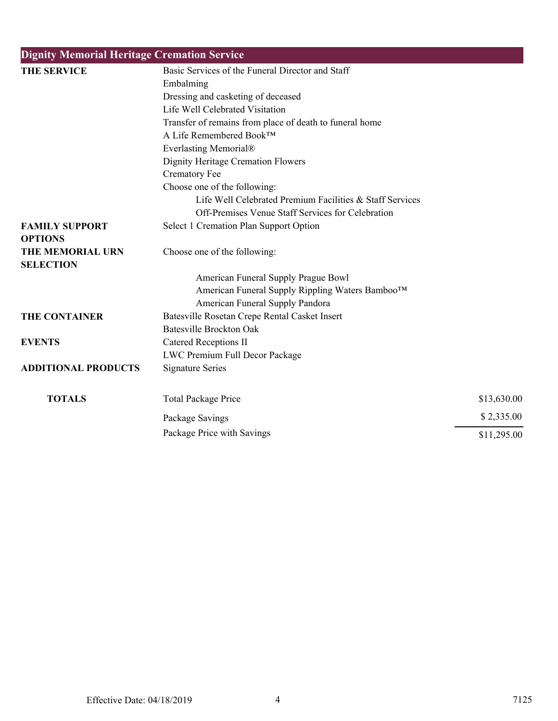| <b>Dignity Memorial Heritage Cremation Service</b> |                                                          |             |
|----------------------------------------------------|----------------------------------------------------------|-------------|
| THE SERVICE                                        | Basic Services of the Funeral Director and Staff         |             |
|                                                    | Embalming                                                |             |
|                                                    | Dressing and casketing of deceased                       |             |
|                                                    | Life Well Celebrated Visitation                          |             |
|                                                    | Transfer of remains from place of death to funeral home  |             |
|                                                    | A Life Remembered Book™                                  |             |
|                                                    | Everlasting Memorial®                                    |             |
|                                                    | Dignity Heritage Cremation Flowers                       |             |
|                                                    | <b>Crematory Fee</b>                                     |             |
|                                                    | Choose one of the following:                             |             |
|                                                    | Life Well Celebrated Premium Facilities & Staff Services |             |
|                                                    | Off-Premises Venue Staff Services for Celebration        |             |
| <b>FAMILY SUPPORT</b>                              | Select 1 Cremation Plan Support Option                   |             |
| <b>OPTIONS</b>                                     |                                                          |             |
| THE MEMORIAL URN                                   | Choose one of the following:                             |             |
| <b>SELECTION</b>                                   |                                                          |             |
|                                                    | American Funeral Supply Prague Bowl                      |             |
|                                                    | American Funeral Supply Rippling Waters Bamboo™          |             |
|                                                    | American Funeral Supply Pandora                          |             |
| <b>THE CONTAINER</b>                               | Batesville Rosetan Crepe Rental Casket Insert            |             |
|                                                    | <b>Batesville Brockton Oak</b>                           |             |
| <b>EVENTS</b>                                      | <b>Catered Receptions II</b>                             |             |
|                                                    | LWC Premium Full Decor Package                           |             |
| <b>ADDITIONAL PRODUCTS</b>                         | <b>Signature Series</b>                                  |             |
| <b>TOTALS</b>                                      | <b>Total Package Price</b>                               | \$13,630.00 |
|                                                    | Package Savings                                          | \$2,335.00  |
|                                                    | Package Price with Savings                               | \$11,295.00 |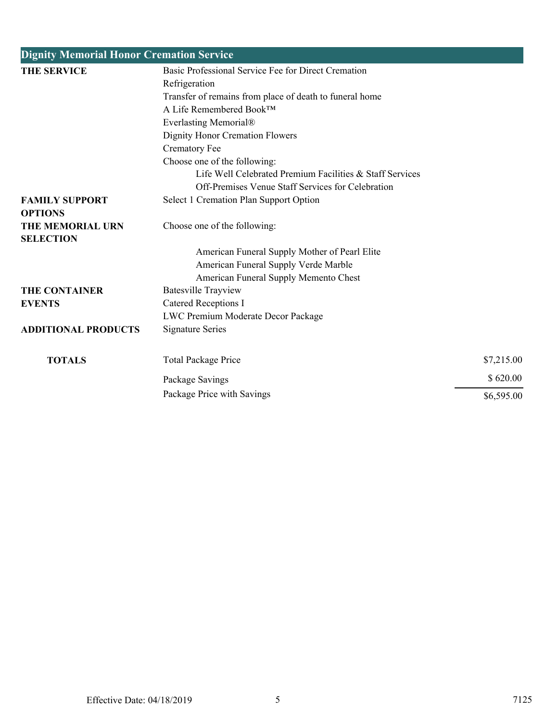| <b>Dignity Memorial Honor Cremation Service</b> |                                                          |            |
|-------------------------------------------------|----------------------------------------------------------|------------|
| <b>THE SERVICE</b>                              | Basic Professional Service Fee for Direct Cremation      |            |
|                                                 | Refrigeration                                            |            |
|                                                 | Transfer of remains from place of death to funeral home  |            |
|                                                 | A Life Remembered Book™                                  |            |
|                                                 | Everlasting Memorial®                                    |            |
|                                                 | Dignity Honor Cremation Flowers                          |            |
|                                                 | <b>Crematory Fee</b>                                     |            |
|                                                 | Choose one of the following:                             |            |
|                                                 | Life Well Celebrated Premium Facilities & Staff Services |            |
|                                                 | Off-Premises Venue Staff Services for Celebration        |            |
| <b>FAMILY SUPPORT</b>                           | Select 1 Cremation Plan Support Option                   |            |
| <b>OPTIONS</b>                                  |                                                          |            |
| <b>THE MEMORIAL URN</b>                         | Choose one of the following:                             |            |
| <b>SELECTION</b>                                |                                                          |            |
|                                                 | American Funeral Supply Mother of Pearl Elite            |            |
|                                                 | American Funeral Supply Verde Marble                     |            |
|                                                 | American Funeral Supply Memento Chest                    |            |
| <b>THE CONTAINER</b>                            | <b>Batesville Trayview</b>                               |            |
| <b>EVENTS</b>                                   | Catered Receptions I                                     |            |
|                                                 | LWC Premium Moderate Decor Package                       |            |
| <b>ADDITIONAL PRODUCTS</b>                      | <b>Signature Series</b>                                  |            |
| <b>TOTALS</b>                                   | <b>Total Package Price</b>                               | \$7,215.00 |
|                                                 | Package Savings                                          | \$620.00   |
|                                                 | Package Price with Savings                               | \$6,595.00 |